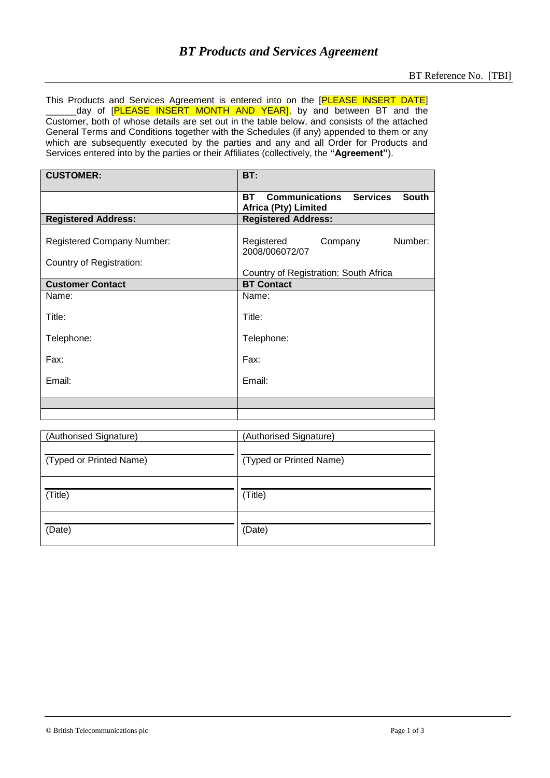This Products and Services Agreement is entered into on the [PLEASE INSERT DATE] \_day of [PLEASE INSERT MONTH AND YEAR], by and between BT and the Customer, both of whose details are set out in the table below, and consists of the attached General Terms and Conditions together with the Schedules (if any) appended to them or any which are subsequently executed by the parties and any and all Order for Products and Services entered into by the parties or their Affiliates (collectively, the **"Agreement"**).

| <b>CUSTOMER:</b>                  | BT:                                                                                 |
|-----------------------------------|-------------------------------------------------------------------------------------|
|                                   | <b>Communications Services</b><br>South<br><b>BT</b><br><b>Africa (Pty) Limited</b> |
| <b>Registered Address:</b>        | <b>Registered Address:</b>                                                          |
| <b>Registered Company Number:</b> | Number:<br>Registered<br>Company<br>2008/006072/07                                  |
| Country of Registration:          |                                                                                     |
|                                   | Country of Registration: South Africa                                               |
| <b>Customer Contact</b>           | <b>BT Contact</b>                                                                   |
| Name:                             | Name:                                                                               |
| Title:                            | Title:                                                                              |
| Telephone:                        | Telephone:                                                                          |
| Fax:                              | Fax:                                                                                |
| Email:                            | Email:                                                                              |
|                                   |                                                                                     |
|                                   |                                                                                     |

| (Authorised Signature)  | (Authorised Signature)  |
|-------------------------|-------------------------|
| (Typed or Printed Name) | (Typed or Printed Name) |
| (Title)                 | (Title)                 |
| (Date)                  | (Date)                  |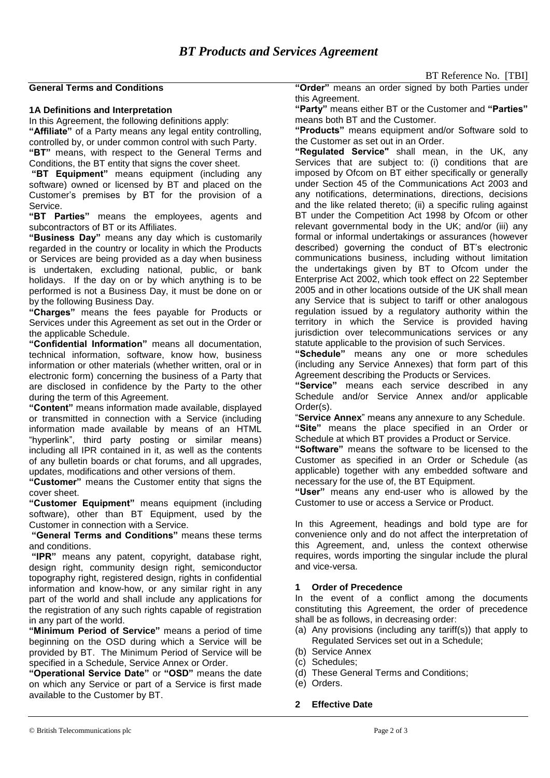#### **General Terms and Conditions**

#### **1A Definitions and Interpretation**

In this Agreement, the following definitions apply:

**"Affiliate"** of a Party means any legal entity controlling, controlled by, or under common control with such Party. **"BT"** means, with respect to the General Terms and Conditions, the BT entity that signs the cover sheet.

**"BT Equipment"** means equipment (including any software) owned or licensed by BT and placed on the Customer's premises by BT for the provision of a Service.

**"BT Parties"** means the employees, agents and subcontractors of BT or its Affiliates.

**"Business Day"** means any day which is customarily regarded in the country or locality in which the Products or Services are being provided as a day when business is undertaken, excluding national, public, or bank holidays. If the day on or by which anything is to be performed is not a Business Day, it must be done on or by the following Business Day.

**"Charges"** means the fees payable for Products or Services under this Agreement as set out in the Order or the applicable Schedule.

**"Confidential Information"** means all documentation, technical information, software, know how, business information or other materials (whether written, oral or in electronic form) concerning the business of a Party that are disclosed in confidence by the Party to the other during the term of this Agreement.

**"Content"** means information made available, displayed or transmitted in connection with a Service (including information made available by means of an HTML "hyperlink", third party posting or similar means) including all IPR contained in it, as well as the contents of any bulletin boards or chat forums, and all upgrades, updates, modifications and other versions of them.

**"Customer"** means the Customer entity that signs the cover sheet.

**"Customer Equipment"** means equipment (including software), other than BT Equipment, used by the Customer in connection with a Service.

**"General Terms and Conditions"** means these terms and conditions.

**"IPR"** means any patent, copyright, database right, design right, community design right, semiconductor topography right, registered design, rights in confidential information and know-how, or any similar right in any part of the world and shall include any applications for the registration of any such rights capable of registration in any part of the world.

**"Minimum Period of Service"** means a period of time beginning on the OSD during which a Service will be provided by BT. The Minimum Period of Service will be specified in a Schedule, Service Annex or Order.

**"Operational Service Date"** or **"OSD"** means the date on which any Service or part of a Service is first made available to the Customer by BT.

BT Reference No. [TBI]

**"Order"** means an order signed by both Parties under this Agreement.

**"Party"** means either BT or the Customer and **"Parties"** means both BT and the Customer.

**"Products"** means equipment and/or Software sold to the Customer as set out in an Order.

**"Regulated Service"** shall mean, in the UK, any Services that are subject to: (i) conditions that are imposed by Ofcom on BT either specifically or generally under Section 45 of the Communications Act 2003 and any notifications, determinations, directions, decisions and the like related thereto; (ii) a specific ruling against BT under the Competition Act 1998 by Ofcom or other relevant governmental body in the UK; and/or (iii) any formal or informal undertakings or assurances (however described) governing the conduct of BT's electronic communications business, including without limitation the undertakings given by BT to Ofcom under the Enterprise Act 2002, which took effect on 22 September 2005 and in other locations outside of the UK shall mean any Service that is subject to tariff or other analogous regulation issued by a regulatory authority within the territory in which the Service is provided having jurisdiction over telecommunications services or any statute applicable to the provision of such Services.

**"Schedule"** means any one or more schedules (including any Service Annexes) that form part of this Agreement describing the Products or Services.

**"Service"** means each service described in any Schedule and/or Service Annex and/or applicable Order(s).

"**Service Annex**" means any annexure to any Schedule.

**"Site"** means the place specified in an Order or Schedule at which BT provides a Product or Service.

**"Software"** means the software to be licensed to the Customer as specified in an Order or Schedule (as applicable) together with any embedded software and necessary for the use of, the BT Equipment.

**"User"** means any end-user who is allowed by the Customer to use or access a Service or Product.

In this Agreement, headings and bold type are for convenience only and do not affect the interpretation of this Agreement, and, unless the context otherwise requires, words importing the singular include the plural and vice-versa.

## **1 Order of Precedence**

In the event of a conflict among the documents constituting this Agreement, the order of precedence shall be as follows, in decreasing order:

- (a) Any provisions (including any tariff(s)) that apply to Regulated Services set out in a Schedule;
- (b) Service Annex
- (c) Schedules;
- (d) These General Terms and Conditions;
- (e) Orders.

# **2 Effective Date**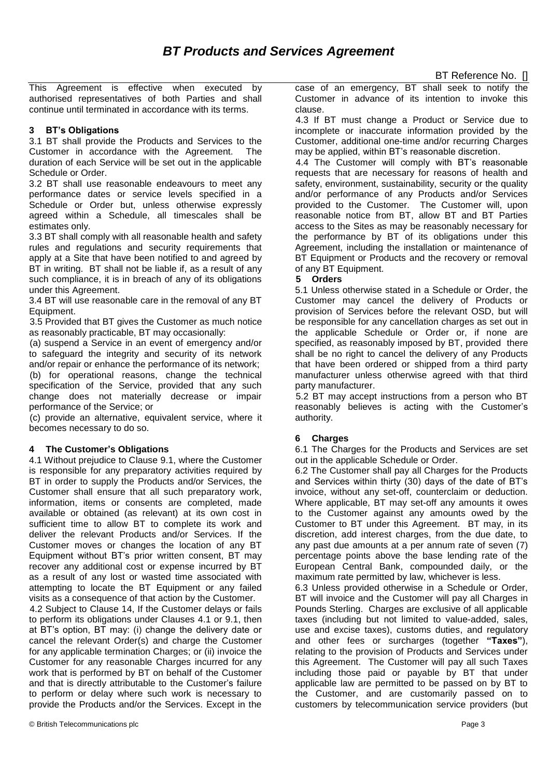This Agreement is effective when executed by authorised representatives of both Parties and shall continue until terminated in accordance with its terms.

# **3 BT's Obligations**

3.1 BT shall provide the Products and Services to the Customer in accordance with the Agreement. The duration of each Service will be set out in the applicable Schedule or Order.

3.2 BT shall use reasonable endeavours to meet any performance dates or service levels specified in a Schedule or Order but, unless otherwise expressly agreed within a Schedule, all timescales shall be estimates only.

3.3 BT shall comply with all reasonable health and safety rules and regulations and security requirements that apply at a Site that have been notified to and agreed by BT in writing. BT shall not be liable if, as a result of any such compliance, it is in breach of any of its obligations under this Agreement.

3.4 BT will use reasonable care in the removal of any BT Equipment.

3.5 Provided that BT gives the Customer as much notice as reasonably practicable, BT may occasionally:

(a) suspend a Service in an event of emergency and/or to safeguard the integrity and security of its network and/or repair or enhance the performance of its network; (b) for operational reasons, change the technical specification of the Service, provided that any such change does not materially decrease or impair performance of the Service; or

(c) provide an alternative, equivalent service, where it becomes necessary to do so.

## **4 The Customer's Obligations**

4.1 Without prejudice to Clause 9.1, where the Customer is responsible for any preparatory activities required by BT in order to supply the Products and/or Services, the Customer shall ensure that all such preparatory work, information, items or consents are completed, made available or obtained (as relevant) at its own cost in sufficient time to allow BT to complete its work and deliver the relevant Products and/or Services. If the Customer moves or changes the location of any BT Equipment without BT's prior written consent, BT may recover any additional cost or expense incurred by BT as a result of any lost or wasted time associated with attempting to locate the BT Equipment or any failed visits as a consequence of that action by the Customer.

4.2 Subject to Clause 14, If the Customer delays or fails to perform its obligations under Clauses 4.1 or 9.1, then at BT's option, BT may: (i) change the delivery date or cancel the relevant Order(s) and charge the Customer for any applicable termination Charges; or (ii) invoice the Customer for any reasonable Charges incurred for any work that is performed by BT on behalf of the Customer and that is directly attributable to the Customer's failure to perform or delay where such work is necessary to provide the Products and/or the Services. Except in the

case of an emergency, BT shall seek to notify the Customer in advance of its intention to invoke this clause.

4.3 If BT must change a Product or Service due to incomplete or inaccurate information provided by the Customer, additional one-time and/or recurring Charges may be applied, within BT's reasonable discretion.

4.4 The Customer will comply with BT's reasonable requests that are necessary for reasons of health and safety, environment, sustainability, security or the quality and/or performance of any Products and/or Services provided to the Customer. The Customer will, upon reasonable notice from BT, allow BT and BT Parties access to the Sites as may be reasonably necessary for the performance by BT of its obligations under this Agreement, including the installation or maintenance of BT Equipment or Products and the recovery or removal of any BT Equipment.

# **5 Orders**

5.1 Unless otherwise stated in a Schedule or Order, the Customer may cancel the delivery of Products or provision of Services before the relevant OSD, but will be responsible for any cancellation charges as set out in the applicable Schedule or Order or, if none are specified, as reasonably imposed by BT, provided there shall be no right to cancel the delivery of any Products that have been ordered or shipped from a third party manufacturer unless otherwise agreed with that third party manufacturer.

5.2 BT may accept instructions from a person who BT reasonably believes is acting with the Customer's authority.

# **6 Charges**

6.1 The Charges for the Products and Services are set out in the applicable Schedule or Order.

6.2 The Customer shall pay all Charges for the Products and Services within thirty (30) days of the date of BT's invoice, without any set-off, counterclaim or deduction. Where applicable, BT may set-off any amounts it owes to the Customer against any amounts owed by the Customer to BT under this Agreement. BT may, in its discretion, add interest charges, from the due date, to any past due amounts at a per annum rate of seven (7) percentage points above the base lending rate of the European Central Bank, compounded daily, or the maximum rate permitted by law, whichever is less.

6.3 Unless provided otherwise in a Schedule or Order, BT will invoice and the Customer will pay all Charges in Pounds Sterling. Charges are exclusive of all applicable taxes (including but not limited to value-added, sales, use and excise taxes), customs duties, and regulatory and other fees or surcharges (together **"Taxes"**), relating to the provision of Products and Services under this Agreement. The Customer will pay all such Taxes including those paid or payable by BT that under applicable law are permitted to be passed on by BT to the Customer, and are customarily passed on to customers by telecommunication service providers (but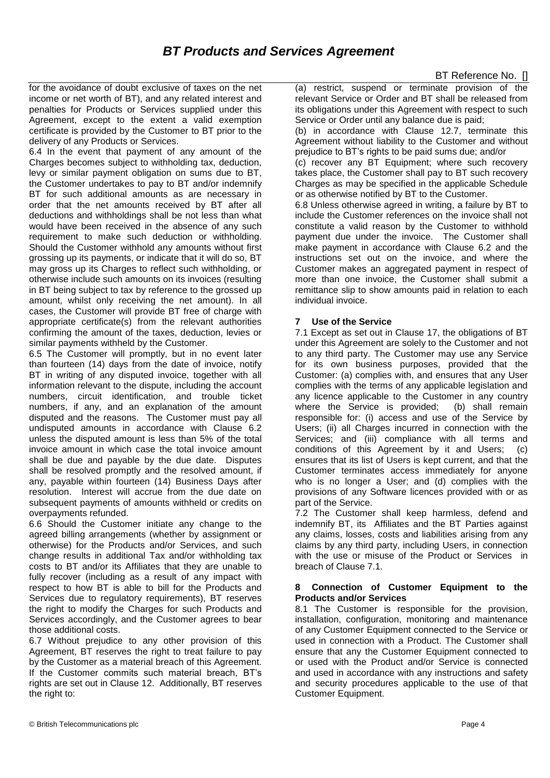for the avoidance of doubt exclusive of taxes on the net income or net worth of BT), and any related interest and penalties for Products or Services supplied under this Agreement, except to the extent a valid exemption certificate is provided by the Customer to BT prior to the delivery of any Products or Services.

6.4 In the event that payment of any amount of the Charges becomes subject to withholding tax, deduction, levy or similar payment obligation on sums due to BT, the Customer undertakes to pay to BT and/or indemnify BT for such additional amounts as are necessary in order that the net amounts received by BT after all deductions and withholdings shall be not less than what would have been received in the absence of any such requirement to make such deduction or withholding. Should the Customer withhold any amounts without first grossing up its payments, or indicate that it will do so, BT may gross up its Charges to reflect such withholding, or otherwise include such amounts on its invoices (resulting in BT being subject to tax by reference to the grossed up amount, whilst only receiving the net amount). In all cases, the Customer will provide BT free of charge with appropriate certificate(s) from the relevant authorities confirming the amount of the taxes, deduction, levies or similar payments withheld by the Customer.

6.5 The Customer will promptly, but in no event later than fourteen (14) days from the date of invoice, notify BT in writing of any disputed invoice, together with all information relevant to the dispute, including the account numbers, circuit identification, and trouble ticket numbers, if any, and an explanation of the amount disputed and the reasons. The Customer must pay all undisputed amounts in accordance with Clause 6.2 unless the disputed amount is less than 5% of the total invoice amount in which case the total invoice amount shall be due and payable by the due date. Disputes shall be resolved promptly and the resolved amount, if any, payable within fourteen (14) Business Days after resolution. Interest will accrue from the due date on subsequent payments of amounts withheld or credits on overpayments refunded.

6.6 Should the Customer initiate any change to the agreed billing arrangements (whether by assignment or otherwise) for the Products and/or Services, and such change results in additional Tax and/or withholding tax costs to BT and/or its Affiliates that they are unable to fully recover (including as a result of any impact with respect to how BT is able to bill for the Products and Services due to regulatory requirements), BT reserves the right to modify the Charges for such Products and Services accordingly, and the Customer agrees to bear those additional costs.

6.7 Without prejudice to any other provision of this Agreement, BT reserves the right to treat failure to pay by the Customer as a material breach of this Agreement. If the Customer commits such material breach, BT's rights are set out in Clause 12. Additionally, BT reserves the right to:

(a) restrict, suspend or terminate provision of the relevant Service or Order and BT shall be released from its obligations under this Agreement with respect to such Service or Order until any balance due is paid;

(b) in accordance with Clause 12.7, terminate this Agreement without liability to the Customer and without prejudice to BT's rights to be paid sums due; and/or

(c) recover any BT Equipment; where such recovery takes place, the Customer shall pay to BT such recovery Charges as may be specified in the applicable Schedule or as otherwise notified by BT to the Customer.

6.8 Unless otherwise agreed in writing, a failure by BT to include the Customer references on the invoice shall not constitute a valid reason by the Customer to withhold payment due under the invoice. The Customer shall make payment in accordance with Clause 6.2 and the instructions set out on the invoice, and where the Customer makes an aggregated payment in respect of more than one invoice, the Customer shall submit a remittance slip to show amounts paid in relation to each individual invoice.

# **7 Use of the Service**

7.1 Except as set out in Clause 17, the obligations of BT under this Agreement are solely to the Customer and not to any third party. The Customer may use any Service for its own business purposes, provided that the Customer: (a) complies with, and ensures that any User complies with the terms of any applicable legislation and any licence applicable to the Customer in any country where the Service is provided; (b) shall remain responsible for: (i) access and use of the Service by Users; (ii) all Charges incurred in connection with the Services; and (iii) compliance with all terms and conditions of this Agreement by it and Users; (c) ensures that its list of Users is kept current, and that the Customer terminates access immediately for anyone who is no longer a User; and (d) complies with the provisions of any Software licences provided with or as part of the Service.

7.2 The Customer shall keep harmless, defend and indemnify BT, its Affiliates and the BT Parties against any claims, losses, costs and liabilities arising from any claims by any third party, including Users, in connection with the use or misuse of the Product or Services in breach of Clause 7.1.

#### **8 Connection of Customer Equipment to the Products and/or Services**

8.1 The Customer is responsible for the provision, installation, configuration, monitoring and maintenance of any Customer Equipment connected to the Service or used in connection with a Product. The Customer shall ensure that any the Customer Equipment connected to or used with the Product and/or Service is connected and used in accordance with any instructions and safety and security procedures applicable to the use of that Customer Equipment.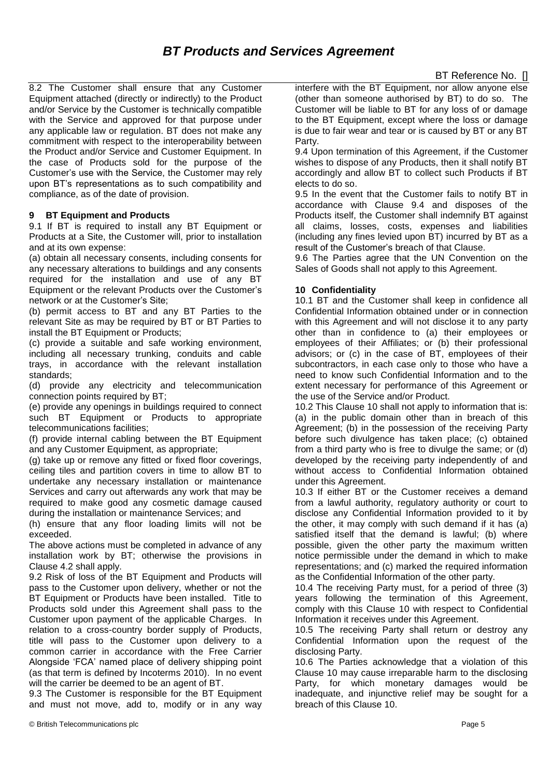8.2 The Customer shall ensure that any Customer Equipment attached (directly or indirectly) to the Product and/or Service by the Customer is technically compatible with the Service and approved for that purpose under any applicable law or regulation. BT does not make any commitment with respect to the interoperability between the Product and/or Service and Customer Equipment. In the case of Products sold for the purpose of the Customer's use with the Service, the Customer may rely upon BT's representations as to such compatibility and compliance, as of the date of provision.

## **9 BT Equipment and Products**

9.1 If BT is required to install any BT Equipment or Products at a Site, the Customer will, prior to installation and at its own expense:

(a) obtain all necessary consents, including consents for any necessary alterations to buildings and any consents required for the installation and use of any BT Equipment or the relevant Products over the Customer's network or at the Customer's Site;

(b) permit access to BT and any BT Parties to the relevant Site as may be required by BT or BT Parties to install the BT Equipment or Products;

(c) provide a suitable and safe working environment, including all necessary trunking, conduits and cable trays, in accordance with the relevant installation standards;

(d) provide any electricity and telecommunication connection points required by BT;

(e) provide any openings in buildings required to connect such BT Equipment or Products to appropriate telecommunications facilities;

(f) provide internal cabling between the BT Equipment and any Customer Equipment, as appropriate;

(g) take up or remove any fitted or fixed floor coverings, ceiling tiles and partition covers in time to allow BT to undertake any necessary installation or maintenance Services and carry out afterwards any work that may be required to make good any cosmetic damage caused during the installation or maintenance Services; and

(h) ensure that any floor loading limits will not be exceeded.

The above actions must be completed in advance of any installation work by BT; otherwise the provisions in Clause 4.2 shall apply.

9.2 Risk of loss of the BT Equipment and Products will pass to the Customer upon delivery, whether or not the BT Equipment or Products have been installed. Title to Products sold under this Agreement shall pass to the Customer upon payment of the applicable Charges. In relation to a cross-country border supply of Products, title will pass to the Customer upon delivery to a common carrier in accordance with the Free Carrier Alongside 'FCA' named place of delivery shipping point (as that term is defined by Incoterms 2010). In no event will the carrier be deemed to be an agent of BT.

9.3 The Customer is responsible for the BT Equipment and must not move, add to, modify or in any way

9.4 Upon termination of this Agreement, if the Customer wishes to dispose of any Products, then it shall notify BT accordingly and allow BT to collect such Products if BT elects to do so.

9.5 In the event that the Customer fails to notify BT in accordance with Clause 9.4 and disposes of the Products itself, the Customer shall indemnify BT against all claims, losses, costs, expenses and liabilities (including any fines levied upon BT) incurred by BT as a result of the Customer's breach of that Clause.

9.6 The Parties agree that the UN Convention on the Sales of Goods shall not apply to this Agreement.

# **10 Confidentiality**

10.1 BT and the Customer shall keep in confidence all Confidential Information obtained under or in connection with this Agreement and will not disclose it to any party other than in confidence to (a) their employees or employees of their Affiliates; or (b) their professional advisors; or (c) in the case of BT, employees of their subcontractors, in each case only to those who have a need to know such Confidential Information and to the extent necessary for performance of this Agreement or the use of the Service and/or Product.

10.2 This Clause 10 shall not apply to information that is: (a) in the public domain other than in breach of this Agreement; (b) in the possession of the receiving Party before such divulgence has taken place; (c) obtained from a third party who is free to divulge the same; or (d) developed by the receiving party independently of and without access to Confidential Information obtained under this Agreement.

10.3 If either BT or the Customer receives a demand from a lawful authority, regulatory authority or court to disclose any Confidential Information provided to it by the other, it may comply with such demand if it has (a) satisfied itself that the demand is lawful; (b) where possible, given the other party the maximum written notice permissible under the demand in which to make representations; and (c) marked the required information as the Confidential Information of the other party.

10.4 The receiving Party must, for a period of three (3) years following the termination of this Agreement, comply with this Clause 10 with respect to Confidential Information it receives under this Agreement.

10.5 The receiving Party shall return or destroy any Confidential Information upon the request of the disclosing Party.

10.6 The Parties acknowledge that a violation of this Clause 10 may cause irreparable harm to the disclosing Party, for which monetary damages would be inadequate, and injunctive relief may be sought for a breach of this Clause 10.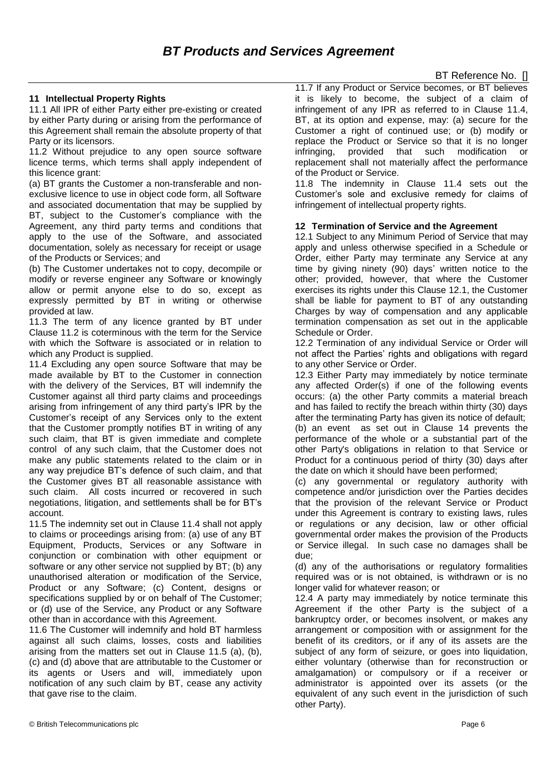# **11 Intellectual Property Rights**

11.1 All IPR of either Party either pre-existing or created by either Party during or arising from the performance of this Agreement shall remain the absolute property of that Party or its licensors.

11.2 Without prejudice to any open source software licence terms, which terms shall apply independent of this licence grant:

(a) BT grants the Customer a non-transferable and nonexclusive licence to use in object code form, all Software and associated documentation that may be supplied by BT, subject to the Customer's compliance with the Agreement, any third party terms and conditions that apply to the use of the Software, and associated documentation, solely as necessary for receipt or usage of the Products or Services; and

(b) The Customer undertakes not to copy, decompile or modify or reverse engineer any Software or knowingly allow or permit anyone else to do so, except as expressly permitted by BT in writing or otherwise provided at law.

11.3 The term of any licence granted by BT under Clause 11.2 is coterminous with the term for the Service with which the Software is associated or in relation to which any Product is supplied.

11.4 Excluding any open source Software that may be made available by BT to the Customer in connection with the delivery of the Services, BT will indemnify the Customer against all third party claims and proceedings arising from infringement of any third party's IPR by the Customer's receipt of any Services only to the extent that the Customer promptly notifies BT in writing of any such claim, that BT is given immediate and complete control of any such claim, that the Customer does not make any public statements related to the claim or in any way prejudice BT's defence of such claim, and that the Customer gives BT all reasonable assistance with such claim. All costs incurred or recovered in such negotiations, litigation, and settlements shall be for BT's account.

11.5 The indemnity set out in Clause 11.4 shall not apply to claims or proceedings arising from: (a) use of any BT Equipment, Products, Services or any Software in conjunction or combination with other equipment or software or any other service not supplied by BT; (b) any unauthorised alteration or modification of the Service, Product or any Software; (c) Content, designs or specifications supplied by or on behalf of The Customer; or (d) use of the Service, any Product or any Software other than in accordance with this Agreement.

11.6 The Customer will indemnify and hold BT harmless against all such claims, losses, costs and liabilities arising from the matters set out in Clause 11.5 (a), (b), (c) and (d) above that are attributable to the Customer or its agents or Users and will, immediately upon notification of any such claim by BT, cease any activity that gave rise to the claim.

11.7 If any Product or Service becomes, or BT believes it is likely to become, the subject of a claim of infringement of any IPR as referred to in Clause 11.4, BT, at its option and expense, may: (a) secure for the Customer a right of continued use; or (b) modify or replace the Product or Service so that it is no longer infringing, provided that such modification or replacement shall not materially affect the performance of the Product or Service.

11.8 The indemnity in Clause 11.4 sets out the Customer's sole and exclusive remedy for claims of infringement of intellectual property rights.

## **12 Termination of Service and the Agreement**

12.1 Subject to any Minimum Period of Service that may apply and unless otherwise specified in a Schedule or Order, either Party may terminate any Service at any time by giving ninety (90) days' written notice to the other; provided, however, that where the Customer exercises its rights under this Clause 12.1, the Customer shall be liable for payment to BT of any outstanding Charges by way of compensation and any applicable termination compensation as set out in the applicable Schedule or Order.

12.2 Termination of any individual Service or Order will not affect the Parties' rights and obligations with regard to any other Service or Order.

12.3 Either Party may immediately by notice terminate any affected Order(s) if one of the following events occurs: (a) the other Party commits a material breach and has failed to rectify the breach within thirty (30) days after the terminating Party has given its notice of default; (b) an event as set out in Clause 14 prevents the performance of the whole or a substantial part of the other Party's obligations in relation to that Service or Product for a continuous period of thirty (30) days after the date on which it should have been performed;

(c) any governmental or regulatory authority with competence and/or jurisdiction over the Parties decides that the provision of the relevant Service or Product under this Agreement is contrary to existing laws, rules or regulations or any decision, law or other official governmental order makes the provision of the Products or Service illegal. In such case no damages shall be due;

(d) any of the authorisations or regulatory formalities required was or is not obtained, is withdrawn or is no longer valid for whatever reason; or

12.4 A party may immediately by notice terminate this Agreement if the other Party is the subject of a bankruptcy order, or becomes insolvent, or makes any arrangement or composition with or assignment for the benefit of its creditors, or if any of its assets are the subject of any form of seizure, or goes into liquidation, either voluntary (otherwise than for reconstruction or amalgamation) or compulsory or if a receiver or administrator is appointed over its assets (or the equivalent of any such event in the jurisdiction of such other Party).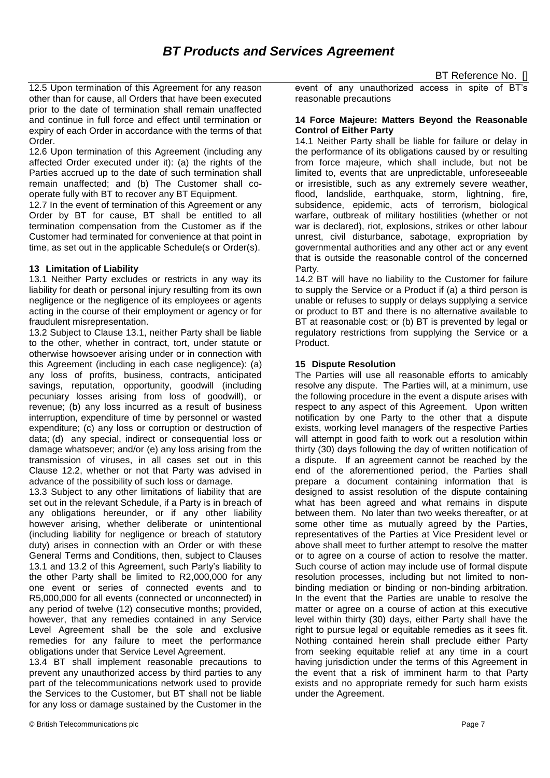12.5 Upon termination of this Agreement for any reason other than for cause, all Orders that have been executed prior to the date of termination shall remain unaffected and continue in full force and effect until termination or expiry of each Order in accordance with the terms of that Order.

12.6 Upon termination of this Agreement (including any affected Order executed under it): (a) the rights of the Parties accrued up to the date of such termination shall remain unaffected; and (b) The Customer shall cooperate fully with BT to recover any BT Equipment.

12.7 In the event of termination of this Agreement or any Order by BT for cause, BT shall be entitled to all termination compensation from the Customer as if the Customer had terminated for convenience at that point in time, as set out in the applicable Schedule(s or Order(s).

## **13 Limitation of Liability**

13.1 Neither Party excludes or restricts in any way its liability for death or personal injury resulting from its own negligence or the negligence of its employees or agents acting in the course of their employment or agency or for fraudulent misrepresentation.

13.2 Subject to Clause 13.1, neither Party shall be liable to the other, whether in contract, tort, under statute or otherwise howsoever arising under or in connection with this Agreement (including in each case negligence): (a) any loss of profits, business, contracts, anticipated savings, reputation, opportunity, goodwill (including pecuniary losses arising from loss of goodwill), or revenue; (b) any loss incurred as a result of business interruption, expenditure of time by personnel or wasted expenditure; (c) any loss or corruption or destruction of data; (d) any special, indirect or consequential loss or damage whatsoever; and/or (e) any loss arising from the transmission of viruses, in all cases set out in this Clause 12.2, whether or not that Party was advised in advance of the possibility of such loss or damage.

13.3 Subject to any other limitations of liability that are set out in the relevant Schedule, if a Party is in breach of any obligations hereunder, or if any other liability however arising, whether deliberate or unintentional (including liability for negligence or breach of statutory duty) arises in connection with an Order or with these General Terms and Conditions, then, subject to Clauses 13.1 and 13.2 of this Agreement, such Party's liability to the other Party shall be limited to R2,000,000 for any one event or series of connected events and to R5,000,000 for all events (connected or unconnected) in any period of twelve (12) consecutive months; provided, however, that any remedies contained in any Service Level Agreement shall be the sole and exclusive remedies for any failure to meet the performance obligations under that Service Level Agreement.

13.4 BT shall implement reasonable precautions to prevent any unauthorized access by third parties to any part of the telecommunications network used to provide the Services to the Customer, but BT shall not be liable for any loss or damage sustained by the Customer in the event of any unauthorized access in spite of BT's reasonable precautions

#### **14 Force Majeure: Matters Beyond the Reasonable Control of Either Party**

14.1 Neither Party shall be liable for failure or delay in the performance of its obligations caused by or resulting from force majeure, which shall include, but not be limited to, events that are unpredictable, unforeseeable or irresistible, such as any extremely severe weather, flood, landslide, earthquake, storm, lightning, fire, subsidence, epidemic, acts of terrorism, biological warfare, outbreak of military hostilities (whether or not war is declared), riot, explosions, strikes or other labour unrest, civil disturbance, sabotage, expropriation by governmental authorities and any other act or any event that is outside the reasonable control of the concerned Party.

14.2 BT will have no liability to the Customer for failure to supply the Service or a Product if (a) a third person is unable or refuses to supply or delays supplying a service or product to BT and there is no alternative available to BT at reasonable cost; or (b) BT is prevented by legal or regulatory restrictions from supplying the Service or a Product.

## **15 Dispute Resolution**

The Parties will use all reasonable efforts to amicably resolve any dispute. The Parties will, at a minimum, use the following procedure in the event a dispute arises with respect to any aspect of this Agreement. Upon written notification by one Party to the other that a dispute exists, working level managers of the respective Parties will attempt in good faith to work out a resolution within thirty (30) days following the day of written notification of a dispute. If an agreement cannot be reached by the end of the aforementioned period, the Parties shall prepare a document containing information that is designed to assist resolution of the dispute containing what has been agreed and what remains in dispute between them. No later than two weeks thereafter, or at some other time as mutually agreed by the Parties, representatives of the Parties at Vice President level or above shall meet to further attempt to resolve the matter or to agree on a course of action to resolve the matter. Such course of action may include use of formal dispute resolution processes, including but not limited to nonbinding mediation or binding or non-binding arbitration. In the event that the Parties are unable to resolve the matter or agree on a course of action at this executive level within thirty (30) days, either Party shall have the right to pursue legal or equitable remedies as it sees fit. Nothing contained herein shall preclude either Party from seeking equitable relief at any time in a court having jurisdiction under the terms of this Agreement in the event that a risk of imminent harm to that Party exists and no appropriate remedy for such harm exists under the Agreement.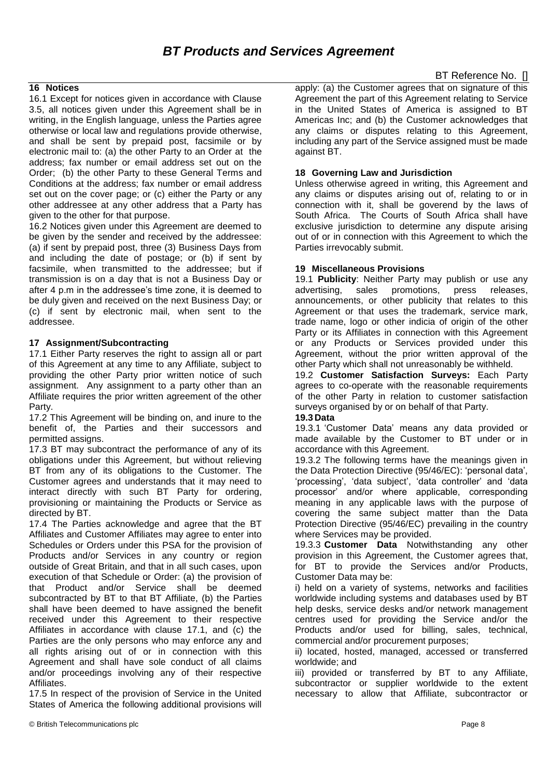# *BT Products and Services Agreement*

# BT Reference No. []

## **16 Notices**

16.1 Except for notices given in accordance with Clause 3.5, all notices given under this Agreement shall be in writing, in the English language, unless the Parties agree otherwise or local law and regulations provide otherwise, and shall be sent by prepaid post, facsimile or by electronic mail to: (a) the other Party to an Order at the address; fax number or email address set out on the Order; (b) the other Party to these General Terms and Conditions at the address; fax number or email address set out on the cover page; or (c) either the Party or any other addressee at any other address that a Party has given to the other for that purpose.

16.2 Notices given under this Agreement are deemed to be given by the sender and received by the addressee: (a) if sent by prepaid post, three (3) Business Days from and including the date of postage; or (b) if sent by facsimile, when transmitted to the addressee; but if transmission is on a day that is not a Business Day or after 4 p.m in the addressee's time zone, it is deemed to be duly given and received on the next Business Day; or (c) if sent by electronic mail, when sent to the addressee.

#### **17 Assignment/Subcontracting**

17.1 Either Party reserves the right to assign all or part of this Agreement at any time to any Affiliate, subject to providing the other Party prior written notice of such assignment. Any assignment to a party other than an Affiliate requires the prior written agreement of the other Party.

17.2 This Agreement will be binding on, and inure to the benefit of, the Parties and their successors and permitted assigns.

17.3 BT may subcontract the performance of any of its obligations under this Agreement, but without relieving BT from any of its obligations to the Customer. The Customer agrees and understands that it may need to interact directly with such BT Party for ordering, provisioning or maintaining the Products or Service as directed by BT.

17.4 The Parties acknowledge and agree that the BT Affiliates and Customer Affiliates may agree to enter into Schedules or Orders under this PSA for the provision of Products and/or Services in any country or region outside of Great Britain, and that in all such cases, upon execution of that Schedule or Order: (a) the provision of that Product and/or Service shall be deemed subcontracted by BT to that BT Affiliate, (b) the Parties shall have been deemed to have assigned the benefit received under this Agreement to their respective Affiliates in accordance with clause 17.1, and (c) the Parties are the only persons who may enforce any and all rights arising out of or in connection with this Agreement and shall have sole conduct of all claims and/or proceedings involving any of their respective Affiliates.

17.5 In respect of the provision of Service in the United States of America the following additional provisions will apply: (a) the Customer agrees that on signature of this Agreement the part of this Agreement relating to Service in the United States of America is assigned to BT Americas Inc; and (b) the Customer acknowledges that any claims or disputes relating to this Agreement, including any part of the Service assigned must be made against BT.

#### **18 Governing Law and Jurisdiction**

Unless otherwise agreed in writing, this Agreement and any claims or disputes arising out of, relating to or in connection with it, shall be goverend by the laws of South Africa. The Courts of South Africa shall have exclusive jurisdiction to determine any dispute arising out of or in connection with this Agreement to which the Parties irrevocably submit.

#### **19 Miscellaneous Provisions**

19.1 **Publicity**: Neither Party may publish or use any advertising, sales promotions, press releases, announcements, or other publicity that relates to this Agreement or that uses the trademark, service mark, trade name, logo or other indicia of origin of the other Party or its Affiliates in connection with this Agreement or any Products or Services provided under this Agreement, without the prior written approval of the other Party which shall not unreasonably be withheld.

19.2 **Customer Satisfaction Surveys:** Each Party agrees to co-operate with the reasonable requirements of the other Party in relation to customer satisfaction surveys organised by or on behalf of that Party.

#### **19.3 Data**

19.3.1 'Customer Data' means any data provided or made available by the Customer to BT under or in accordance with this Agreement.

19.3.2 The following terms have the meanings given in the Data Protection Directive (95/46/EC): 'personal data', 'processing', 'data subject', 'data controller' and 'data processor' and/or where applicable, corresponding meaning in any applicable laws with the purpose of covering the same subject matter than the Data Protection Directive (95/46/EC) prevailing in the country where Services may be provided.

19.3.3 **Customer Data** Notwithstanding any other provision in this Agreement, the Customer agrees that, for BT to provide the Services and/or Products, Customer Data may be:

i) held on a variety of systems, networks and facilities worldwide including systems and databases used by BT help desks, service desks and/or network management centres used for providing the Service and/or the Products and/or used for billing, sales, technical, commercial and/or procurement purposes;

ii) located, hosted, managed, accessed or transferred worldwide; and

iii) provided or transferred by BT to any Affiliate, subcontractor or supplier worldwide to the extent necessary to allow that Affiliate, subcontractor or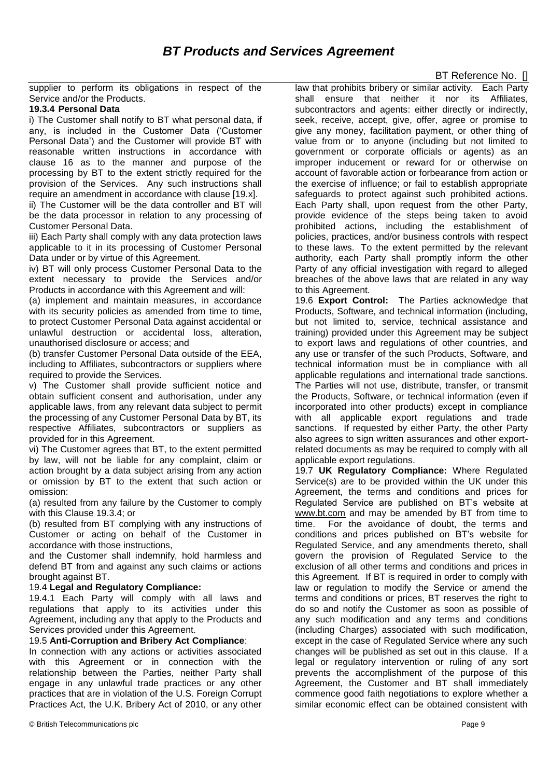supplier to perform its obligations in respect of the Service and/or the Products.

## **19.3.4 Personal Data**

i) The Customer shall notify to BT what personal data, if any, is included in the Customer Data ('Customer Personal Data') and the Customer will provide BT with reasonable written instructions in accordance with clause 16 as to the manner and purpose of the processing by BT to the extent strictly required for the provision of the Services. Any such instructions shall require an amendment in accordance with clause [19.x].

ii) The Customer will be the data controller and BT will be the data processor in relation to any processing of Customer Personal Data.

iii) Each Party shall comply with any data protection laws applicable to it in its processing of Customer Personal Data under or by virtue of this Agreement.

iv) BT will only process Customer Personal Data to the extent necessary to provide the Services and/or Products in accordance with this Agreement and will:

(a) implement and maintain measures, in accordance with its security policies as amended from time to time, to protect Customer Personal Data against accidental or unlawful destruction or accidental loss, alteration, unauthorised disclosure or access; and

(b) transfer Customer Personal Data outside of the EEA, including to Affiliates, subcontractors or suppliers where required to provide the Services.

v) The Customer shall provide sufficient notice and obtain sufficient consent and authorisation, under any applicable laws, from any relevant data subject to permit the processing of any Customer Personal Data by BT, its respective Affiliates, subcontractors or suppliers as provided for in this Agreement.

vi) The Customer agrees that BT, to the extent permitted by law, will not be liable for any complaint, claim or action brought by a data subject arising from any action or omission by BT to the extent that such action or omission:

(a) resulted from any failure by the Customer to comply with this Clause 19.3.4; or

(b) resulted from BT complying with any instructions of Customer or acting on behalf of the Customer in accordance with those instructions,

and the Customer shall indemnify, hold harmless and defend BT from and against any such claims or actions brought against BT.

## 19.4 **Legal and Regulatory Compliance:**

19.4.1 Each Party will comply with all laws and regulations that apply to its activities under this Agreement, including any that apply to the Products and Services provided under this Agreement.

#### 19.5 **Anti-Corruption and Bribery Act Compliance**:

In connection with any actions or activities associated with this Agreement or in connection with the relationship between the Parties, neither Party shall engage in any unlawful trade practices or any other practices that are in violation of the U.S. Foreign Corrupt Practices Act, the U.K. Bribery Act of 2010, or any other

law that prohibits bribery or similar activity. Each Party shall ensure that neither it nor its Affiliates, subcontractors and agents: either directly or indirectly. seek, receive, accept, give, offer, agree or promise to give any money, facilitation payment, or other thing of value from or to anyone (including but not limited to government or corporate officials or agents) as an improper inducement or reward for or otherwise on account of favorable action or forbearance from action or the exercise of influence; or fail to establish appropriate safeguards to protect against such prohibited actions. Each Party shall, upon request from the other Party, provide evidence of the steps being taken to avoid prohibited actions, including the establishment of policies, practices, and/or business controls with respect to these laws. To the extent permitted by the relevant authority, each Party shall promptly inform the other Party of any official investigation with regard to alleged breaches of the above laws that are related in any way to this Agreement.

19.6 **Export Control:** The Parties acknowledge that Products, Software, and technical information (including, but not limited to, service, technical assistance and training) provided under this Agreement may be subject to export laws and regulations of other countries, and any use or transfer of the such Products, Software, and technical information must be in compliance with all applicable regulations and international trade sanctions. The Parties will not use, distribute, transfer, or transmit the Products, Software, or technical information (even if incorporated into other products) except in compliance with all applicable export regulations and trade sanctions. If requested by either Party, the other Party also agrees to sign written assurances and other exportrelated documents as may be required to comply with all applicable export regulations.

19.7 **UK Regulatory Compliance:** Where Regulated Service(s) are to be provided within the UK under this Agreement, the terms and conditions and prices for Regulated Service are published on BT's website at [www.bt.com](http://www.bt.com/) and may be amended by BT from time to time. For the avoidance of doubt, the terms and conditions and prices published on BT's website for Regulated Service, and any amendments thereto, shall govern the provision of Regulated Service to the exclusion of all other terms and conditions and prices in this Agreement. If BT is required in order to comply with law or regulation to modify the Service or amend the terms and conditions or prices, BT reserves the right to do so and notify the Customer as soon as possible of any such modification and any terms and conditions (including Charges) associated with such modification, except in the case of Regulated Service where any such changes will be published as set out in this clause. If a legal or regulatory intervention or ruling of any sort prevents the accomplishment of the purpose of this Agreement, the Customer and BT shall immediately commence good faith negotiations to explore whether a similar economic effect can be obtained consistent with

# BT Reference No. []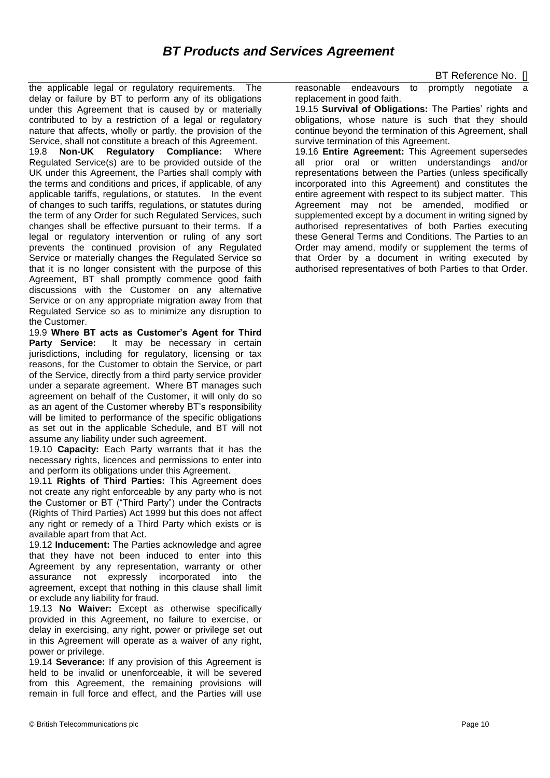the applicable legal or regulatory requirements. The delay or failure by BT to perform any of its obligations under this Agreement that is caused by or materially contributed to by a restriction of a legal or regulatory nature that affects, wholly or partly, the provision of the Service, shall not constitute a breach of this Agreement.

19.8 **Non-UK Regulatory Compliance:** Where Regulated Service(s) are to be provided outside of the UK under this Agreement, the Parties shall comply with the terms and conditions and prices, if applicable, of any applicable tariffs, regulations, or statutes. In the event of changes to such tariffs, regulations, or statutes during the term of any Order for such Regulated Services, such changes shall be effective pursuant to their terms. If a legal or regulatory intervention or ruling of any sort prevents the continued provision of any Regulated Service or materially changes the Regulated Service so that it is no longer consistent with the purpose of this Agreement, BT shall promptly commence good faith discussions with the Customer on any alternative Service or on any appropriate migration away from that Regulated Service so as to minimize any disruption to the Customer.

19.9 **Where BT acts as Customer's Agent for Third**  Party Service: It may be necessary in certain jurisdictions, including for regulatory, licensing or tax reasons, for the Customer to obtain the Service, or part of the Service, directly from a third party service provider under a separate agreement. Where BT manages such agreement on behalf of the Customer, it will only do so as an agent of the Customer whereby BT's responsibility will be limited to performance of the specific obligations as set out in the applicable Schedule, and BT will not assume any liability under such agreement.

19.10 **Capacity:** Each Party warrants that it has the necessary rights, licences and permissions to enter into and perform its obligations under this Agreement.

19.11 **Rights of Third Parties:** This Agreement does not create any right enforceable by any party who is not the Customer or BT ("Third Party") under the Contracts (Rights of Third Parties) Act 1999 but this does not affect any right or remedy of a Third Party which exists or is available apart from that Act.

19.12 **Inducement:** The Parties acknowledge and agree that they have not been induced to enter into this Agreement by any representation, warranty or other assurance not expressly incorporated into the agreement, except that nothing in this clause shall limit or exclude any liability for fraud.

19.13 **No Waiver:** Except as otherwise specifically provided in this Agreement, no failure to exercise, or delay in exercising, any right, power or privilege set out in this Agreement will operate as a waiver of any right, power or privilege.

19.14 **Severance:** If any provision of this Agreement is held to be invalid or unenforceable, it will be severed from this Agreement, the remaining provisions will remain in full force and effect, and the Parties will use reasonable endeavours to promptly negotiate replacement in good faith.

19.15 **Survival of Obligations:** The Parties' rights and obligations, whose nature is such that they should continue beyond the termination of this Agreement, shall survive termination of this Agreement.

19.16 **Entire Agreement:** This Agreement supersedes all prior oral or written understandings and/or representations between the Parties (unless specifically incorporated into this Agreement) and constitutes the entire agreement with respect to its subject matter. This Agreement may not be amended, modified or supplemented except by a document in writing signed by authorised representatives of both Parties executing these General Terms and Conditions. The Parties to an Order may amend, modify or supplement the terms of that Order by a document in writing executed by authorised representatives of both Parties to that Order.